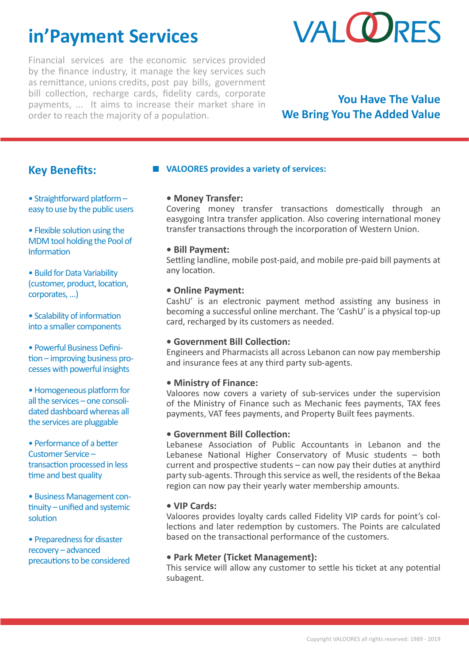# **in'Payment Services**

Financial services are the economic services provided by the finance industry, it manage the key services such as remittance, unions credits, post pay bills, government bill collection, recharge cards, fidelity cards, corporate payments, ... It aims to increase their market share in order to reach the majority of a population.

# VAI **ORES**

## **You Have The Value We Bring You The Added Value**

## **Key Benefits:**

• Straightforward platform – easy to use by the public users

• Flexible solution using the MDM tool holding the Pool of Information

• Build for Data Variability (customer, product, location, corporates, …)

• Scalability of information into a smaller components

• Powerful Business Definition – improving business processes with powerful insights

• Homogeneous platform for all the services – one consolidated dashboard whereas all the services are pluggable

• Performance of a better Customer Service – transaction processed in less time and best quality

• Business Management continuity – unified and systemic solution

• Preparedness for disaster recovery – advanced precautions to be considered

#### **VALOORES provides a variety of services:**

#### **• Money Transfer:**

Covering money transfer transactions domestically through an easygoing Intra transfer application. Also covering international money transfer transactions through the incorporation of Western Union.

#### **• Bill Payment:**

Settling landline, mobile post-paid, and mobile pre-paid bill payments at any location.

#### **• Online Payment:**

CashU' is an electronic payment method assisting any business in becoming a successful online merchant. The 'CashU' is a physical top-up card, recharged by its customers as needed.

#### **• Government Bill Collection:**

Engineers and Pharmacists all across Lebanon can now pay membership and insurance fees at any third party sub-agents.

#### **• Ministry of Finance:**

Valoores now covers a variety of sub-services under the supervision of the Ministry of Finance such as Mechanic fees payments, TAX fees payments, VAT fees payments, and Property Built fees payments.

#### **• Government Bill Collection:**

Lebanese Association of Public Accountants in Lebanon and the Lebanese National Higher Conservatory of Music students – both current and prospective students – can now pay their duties at anythird party sub-agents. Through this service as well, the residents of the Bekaa region can now pay their yearly water membership amounts.

#### **• VIP Cards:**

Valoores provides loyalty cards called Fidelity VIP cards for point's collections and later redemption by customers. The Points are calculated based on the transactional performance of the customers.

#### **• Park Meter (Ticket Management):**

This service will allow any customer to settle his ticket at any potential subagent.